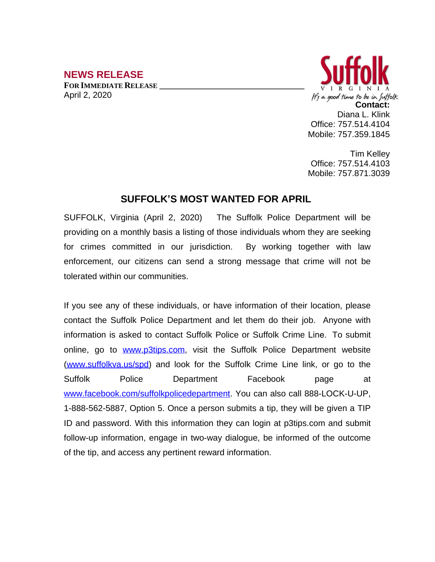## **NEWS RELEASE**

**FOR IMMEDIATE RELEASE \_\_\_\_\_\_\_\_\_\_\_\_\_\_\_\_\_\_\_\_\_\_\_\_\_\_\_\_\_\_\_\_\_\_** April 2, 2020



Tim Kelley Office: 757.514.4103 Mobile: 757.871.3039

## **SUFFOLK'S MOST WANTED FOR APRIL**

SUFFOLK, Virginia (April 2, 2020) The Suffolk Police Department will be providing on a monthly basis a listing of those individuals whom they are seeking for crimes committed in our jurisdiction. By working together with law enforcement, our citizens can send a strong message that crime will not be tolerated within our communities.

If you see any of these individuals, or have information of their location, please contact the Suffolk Police Department and let them do their job. Anyone with information is asked to contact Suffolk Police or Suffolk Crime Line. To submit online, go to [www.p3tips.com](http://www.p3tips.com), visit the Suffolk Police Department website ([www.suffolkva.us/spd](http://www.suffolkva.us/spd)) and look for the Suffolk Crime Line link, or go to the Suffolk Police Department Facebook page at [www.facebook.com/suffolkpolicedepartment](http://www.facebook.com/suffolkpolicedepartment). You can also call 888-LOCK-U-UP, 1-888-562-5887, Option 5. Once a person submits a tip, they will be given a TIP ID and password. With this information they can login at p3tips.com and submit follow-up information, engage in two-way dialogue, be informed of the outcome of the tip, and access any pertinent reward information.